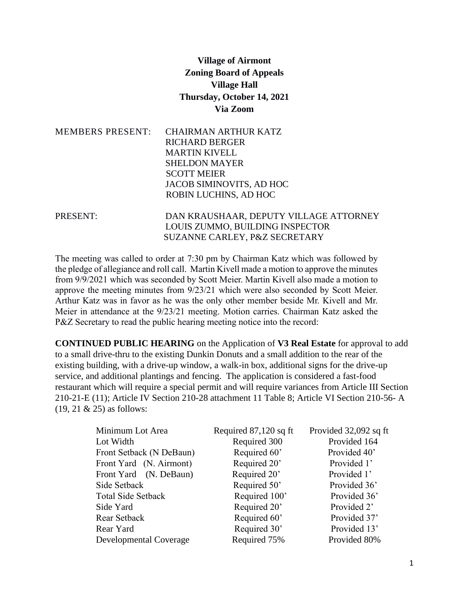## **Village of Airmont Zoning Board of Appeals Village Hall Thursday, October 14, 2021 Via Zoom**

 LOUIS ZUMMO, BUILDING INSPECTOR SUZANNE CARLEY, P&Z SECRETARY

|          | MEMBERS PRESENT: CHAIRMAN ARTHUR KATZ<br><b>RICHARD BERGER</b><br><b>MARTIN KIVELL</b> |
|----------|----------------------------------------------------------------------------------------|
|          | <b>SHELDON MAYER</b><br><b>SCOTT MEIER</b>                                             |
|          | JACOB SIMINOVITS, AD HOC<br>ROBIN LUCHINS, AD HOC                                      |
| PRESENT: | DAN KRAUSHAAR, DEPUTY VILLAGE ATTORNEY                                                 |

The meeting was called to order at 7:30 pm by Chairman Katz which was followed by the pledge of allegiance and roll call. Martin Kivell made a motion to approve the minutes from 9/9/2021 which was seconded by Scott Meier. Martin Kivell also made a motion to approve the meeting minutes from 9/23/21 which were also seconded by Scott Meier. Arthur Katz was in favor as he was the only other member beside Mr. Kivell and Mr. Meier in attendance at the 9/23/21 meeting. Motion carries. Chairman Katz asked the P&Z Secretary to read the public hearing meeting notice into the record:

**CONTINUED PUBLIC HEARING** on the Application of **V3 Real Estate** for approval to add to a small drive-thru to the existing Dunkin Donuts and a small addition to the rear of the existing building, with a drive-up window, a walk-in box, additional signs for the drive-up service, and additional plantings and fencing. The application is considered a fast-food restaurant which will require a special permit and will require variances from Article III Section 210-21-E (11); Article IV Section 210-28 attachment 11 Table 8; Article VI Section 210-56- A (19, 21 & 25) as follows:

| Minimum Lot Area              | Required 87,120 sq ft | Provided 32,092 sq ft |  |
|-------------------------------|-----------------------|-----------------------|--|
| Lot Width                     | Required 300          | Provided 164          |  |
| Front Setback (N DeBaun)      | Required 60'          | Provided 40'          |  |
| Front Yard (N. Airmont)       | Required 20'          | Provided 1'           |  |
| Front Yard (N. DeBaun)        | Required 20'          | Provided 1'           |  |
| Side Setback                  | Required 50'          | Provided 36'          |  |
| <b>Total Side Setback</b>     | Required 100'         | Provided 36'          |  |
| Side Yard                     | Required 20'          | Provided 2'           |  |
| Rear Setback                  | Required 60'          | Provided 37'          |  |
| Rear Yard                     | Required 30'          | Provided 13'          |  |
| <b>Developmental Coverage</b> | Required 75%          | Provided 80%          |  |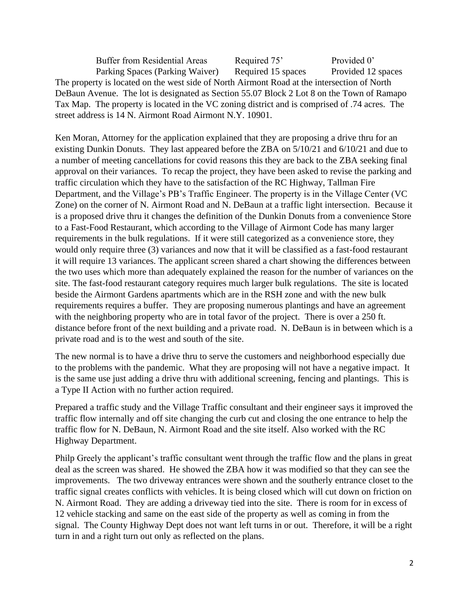Buffer from Residential Areas Required 75' Provided 0' Parking Spaces (Parking Waiver) Required 15 spaces Provided 12 spaces The property is located on the west side of North Airmont Road at the intersection of North DeBaun Avenue. The lot is designated as Section 55.07 Block 2 Lot 8 on the Town of Ramapo Tax Map. The property is located in the VC zoning district and is comprised of .74 acres. The street address is 14 N. Airmont Road Airmont N.Y. 10901.

Ken Moran, Attorney for the application explained that they are proposing a drive thru for an existing Dunkin Donuts. They last appeared before the ZBA on 5/10/21 and 6/10/21 and due to a number of meeting cancellations for covid reasons this they are back to the ZBA seeking final approval on their variances. To recap the project, they have been asked to revise the parking and traffic circulation which they have to the satisfaction of the RC Highway, Tallman Fire Department, and the Village's PB's Traffic Engineer. The property is in the Village Center (VC Zone) on the corner of N. Airmont Road and N. DeBaun at a traffic light intersection. Because it is a proposed drive thru it changes the definition of the Dunkin Donuts from a convenience Store to a Fast-Food Restaurant, which according to the Village of Airmont Code has many larger requirements in the bulk regulations. If it were still categorized as a convenience store, they would only require three (3) variances and now that it will be classified as a fast-food restaurant it will require 13 variances. The applicant screen shared a chart showing the differences between the two uses which more than adequately explained the reason for the number of variances on the site. The fast-food restaurant category requires much larger bulk regulations. The site is located beside the Airmont Gardens apartments which are in the RSH zone and with the new bulk requirements requires a buffer. They are proposing numerous plantings and have an agreement with the neighboring property who are in total favor of the project. There is over a 250 ft. distance before front of the next building and a private road. N. DeBaun is in between which is a private road and is to the west and south of the site.

The new normal is to have a drive thru to serve the customers and neighborhood especially due to the problems with the pandemic. What they are proposing will not have a negative impact. It is the same use just adding a drive thru with additional screening, fencing and plantings. This is a Type II Action with no further action required.

Prepared a traffic study and the Village Traffic consultant and their engineer says it improved the traffic flow internally and off site changing the curb cut and closing the one entrance to help the traffic flow for N. DeBaun, N. Airmont Road and the site itself. Also worked with the RC Highway Department.

Philp Greely the applicant's traffic consultant went through the traffic flow and the plans in great deal as the screen was shared. He showed the ZBA how it was modified so that they can see the improvements. The two driveway entrances were shown and the southerly entrance closet to the traffic signal creates conflicts with vehicles. It is being closed which will cut down on friction on N. Airmont Road. They are adding a driveway tied into the site. There is room for in excess of 12 vehicle stacking and same on the east side of the property as well as coming in from the signal. The County Highway Dept does not want left turns in or out. Therefore, it will be a right turn in and a right turn out only as reflected on the plans.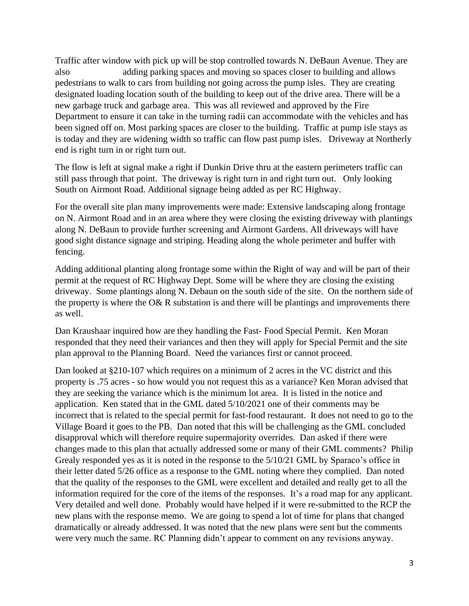Traffic after window with pick up will be stop controlled towards N. DeBaun Avenue. They are also adding parking spaces and moving so spaces closer to building and allows pedestrians to walk to cars from building not going across the pump isles. They are creating designated loading location south of the building to keep out of the drive area. There will be a new garbage truck and garbage area. This was all reviewed and approved by the Fire Department to ensure it can take in the turning radii can accommodate with the vehicles and has been signed off on. Most parking spaces are closer to the building. Traffic at pump isle stays as is today and they are widening width so traffic can flow past pump isles. Driveway at Northerly end is right turn in or right turn out.

The flow is left at signal make a right if Dunkin Drive thru at the eastern perimeters traffic can still pass through that point. The driveway is right turn in and right turn out. Only looking South on Airmont Road. Additional signage being added as per RC Highway.

For the overall site plan many improvements were made: Extensive landscaping along frontage on N. Airmont Road and in an area where they were closing the existing driveway with plantings along N. DeBaun to provide further screening and Airmont Gardens. All driveways will have good sight distance signage and striping. Heading along the whole perimeter and buffer with fencing.

Adding additional planting along frontage some within the Right of way and will be part of their permit at the request of RC Highway Dept. Some will be where they are closing the existing driveway. Some plantings along N. Debaun on the south side of the site. On the northern side of the property is where the  $\alpha$  R substation is and there will be plantings and improvements there as well.

Dan Kraushaar inquired how are they handling the Fast- Food Special Permit. Ken Moran responded that they need their variances and then they will apply for Special Permit and the site plan approval to the Planning Board. Need the variances first or cannot proceed.

Dan looked at §210-107 which requires on a minimum of 2 acres in the VC district and this property is .75 acres - so how would you not request this as a variance? Ken Moran advised that they are seeking the variance which is the minimum lot area. It is listed in the notice and application. Ken stated that in the GML dated 5/10/2021 one of their comments may be incorrect that is related to the special permit for fast-food restaurant. It does not need to go to the Village Board it goes to the PB. Dan noted that this will be challenging as the GML concluded disapproval which will therefore require supermajority overrides. Dan asked if there were changes made to this plan that actually addressed some or many of their GML comments? Philip Grealy responded yes as it is noted in the response to the 5/10/21 GML by Sparaco's office in their letter dated 5/26 office as a response to the GML noting where they complied. Dan noted that the quality of the responses to the GML were excellent and detailed and really get to all the information required for the core of the items of the responses. It's a road map for any applicant. Very detailed and well done. Probably would have helped if it were re-submitted to the RCP the new plans with the response memo. We are going to spend a lot of time for plans that changed dramatically or already addressed. It was noted that the new plans were sent but the comments were very much the same. RC Planning didn't appear to comment on any revisions anyway.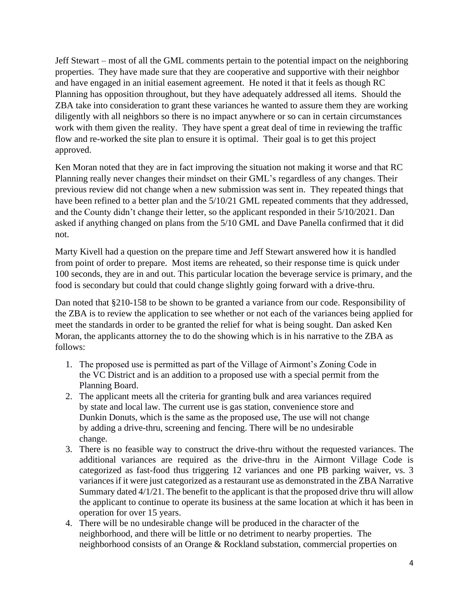Jeff Stewart – most of all the GML comments pertain to the potential impact on the neighboring properties. They have made sure that they are cooperative and supportive with their neighbor and have engaged in an initial easement agreement. He noted it that it feels as though RC Planning has opposition throughout, but they have adequately addressed all items. Should the ZBA take into consideration to grant these variances he wanted to assure them they are working diligently with all neighbors so there is no impact anywhere or so can in certain circumstances work with them given the reality. They have spent a great deal of time in reviewing the traffic flow and re-worked the site plan to ensure it is optimal. Their goal is to get this project approved.

Ken Moran noted that they are in fact improving the situation not making it worse and that RC Planning really never changes their mindset on their GML's regardless of any changes. Their previous review did not change when a new submission was sent in. They repeated things that have been refined to a better plan and the 5/10/21 GML repeated comments that they addressed, and the County didn't change their letter, so the applicant responded in their 5/10/2021. Dan asked if anything changed on plans from the 5/10 GML and Dave Panella confirmed that it did not.

Marty Kivell had a question on the prepare time and Jeff Stewart answered how it is handled from point of order to prepare. Most items are reheated, so their response time is quick under 100 seconds, they are in and out. This particular location the beverage service is primary, and the food is secondary but could that could change slightly going forward with a drive-thru.

Dan noted that §210-158 to be shown to be granted a variance from our code. Responsibility of the ZBA is to review the application to see whether or not each of the variances being applied for meet the standards in order to be granted the relief for what is being sought. Dan asked Ken Moran, the applicants attorney the to do the showing which is in his narrative to the ZBA as follows:

- 1. The proposed use is permitted as part of the Village of Airmont's Zoning Code in the VC District and is an addition to a proposed use with a special permit from the Planning Board.
- 2. The applicant meets all the criteria for granting bulk and area variances required by state and local law. The current use is gas station, convenience store and Dunkin Donuts, which is the same as the proposed use, The use will not change by adding a drive-thru, screening and fencing. There will be no undesirable change.
- 3. There is no feasible way to construct the drive-thru without the requested variances. The additional variances are required as the drive-thru in the Airmont Village Code is categorized as fast-food thus triggering 12 variances and one PB parking waiver, vs. 3 variances if it were just categorized as a restaurant use as demonstrated in the ZBA Narrative Summary dated 4/1/21. The benefit to the applicant is that the proposed drive thru will allow the applicant to continue to operate its business at the same location at which it has been in operation for over 15 years.
- 4. There will be no undesirable change will be produced in the character of the neighborhood, and there will be little or no detriment to nearby properties. The neighborhood consists of an Orange & Rockland substation, commercial properties on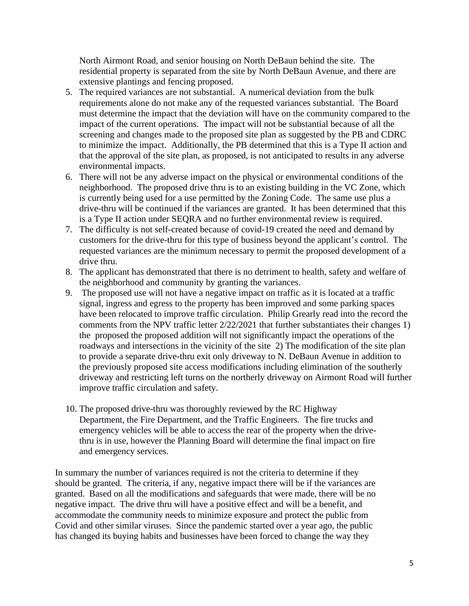North Airmont Road, and senior housing on North DeBaun behind the site. The residential property is separated from the site by North DeBaun Avenue, and there are extensive plantings and fencing proposed.

- 5. The required variances are not substantial. A numerical deviation from the bulk requirements alone do not make any of the requested variances substantial. The Board must determine the impact that the deviation will have on the community compared to the impact of the current operations. The impact will not be substantial because of all the screening and changes made to the proposed site plan as suggested by the PB and CDRC to minimize the impact. Additionally, the PB determined that this is a Type II action and that the approval of the site plan, as proposed, is not anticipated to results in any adverse environmental impacts.
- 6. There will not be any adverse impact on the physical or environmental conditions of the neighborhood. The proposed drive thru is to an existing building in the VC Zone, which is currently being used for a use permitted by the Zoning Code. The same use plus a drive-thru will be continued if the variances are granted. It has been determined that this is a Type II action under SEQRA and no further environmental review is required.
- 7. The difficulty is not self-created because of covid-19 created the need and demand by customers for the drive-thru for this type of business beyond the applicant's control. The requested variances are the minimum necessary to permit the proposed development of a drive thru.
- 8. The applicant has demonstrated that there is no detriment to health, safety and welfare of the neighborhood and community by granting the variances.
- 9. The proposed use will not have a negative impact on traffic as it is located at a traffic signal, ingress and egress to the property has been improved and some parking spaces have been relocated to improve traffic circulation. Philip Grearly read into the record the comments from the NPV traffic letter 2/22/2021 that further substantiates their changes 1) the proposed the proposed addition will not significantly impact the operations of the roadways and intersections in the vicinity of the site 2) The modification of the site plan to provide a separate drive-thru exit only driveway to N. DeBaun Avenue in addition to the previously proposed site access modifications including elimination of the southerly driveway and restricting left turns on the northerly driveway on Airmont Road will further improve traffic circulation and safety.
- 10. The proposed drive-thru was thoroughly reviewed by the RC Highway Department, the Fire Department, and the Traffic Engineers. The fire trucks and emergency vehicles will be able to access the rear of the property when the drivethru is in use, however the Planning Board will determine the final impact on fire and emergency services.

In summary the number of variances required is not the criteria to determine if they should be granted. The criteria, if any, negative impact there will be if the variances are granted. Based on all the modifications and safeguards that were made, there will be no negative impact. The drive thru will have a positive effect and will be a benefit, and accommodate the community needs to minimize exposure and protect the public from Covid and other similar viruses. Since the pandemic started over a year ago, the public has changed its buying habits and businesses have been forced to change the way they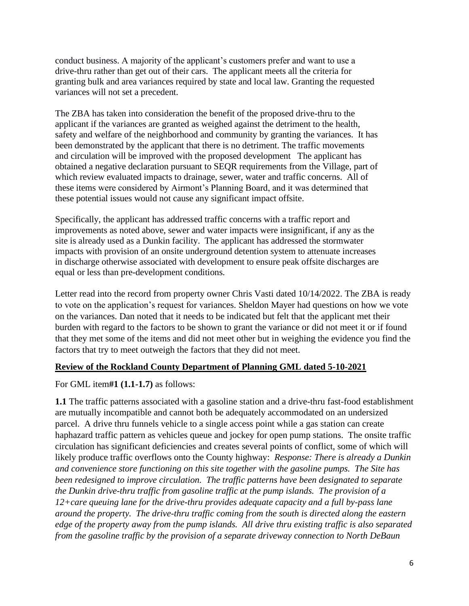conduct business. A majority of the applicant's customers prefer and want to use a drive-thru rather than get out of their cars. The applicant meets all the criteria for granting bulk and area variances required by state and local law. Granting the requested variances will not set a precedent.

The ZBA has taken into consideration the benefit of the proposed drive-thru to the applicant if the variances are granted as weighed against the detriment to the health, safety and welfare of the neighborhood and community by granting the variances. It has been demonstrated by the applicant that there is no detriment. The traffic movements and circulation will be improved with the proposed development The applicant has obtained a negative declaration pursuant to SEQR requirements from the Village, part of which review evaluated impacts to drainage, sewer, water and traffic concerns. All of these items were considered by Airmont's Planning Board, and it was determined that these potential issues would not cause any significant impact offsite.

Specifically, the applicant has addressed traffic concerns with a traffic report and improvements as noted above, sewer and water impacts were insignificant, if any as the site is already used as a Dunkin facility. The applicant has addressed the stormwater impacts with provision of an onsite underground detention system to attenuate increases in discharge otherwise associated with development to ensure peak offsite discharges are equal or less than pre-development conditions.

Letter read into the record from property owner Chris Vasti dated 10/14/2022. The ZBA is ready to vote on the application's request for variances. Sheldon Mayer had questions on how we vote on the variances. Dan noted that it needs to be indicated but felt that the applicant met their burden with regard to the factors to be shown to grant the variance or did not meet it or if found that they met some of the items and did not meet other but in weighing the evidence you find the factors that try to meet outweigh the factors that they did not meet.

## **Review of the Rockland County Department of Planning GML dated 5-10-2021**

For GML item**#1 (1.1-1.7)** as follows:

**1.1** The traffic patterns associated with a gasoline station and a drive-thru fast-food establishment are mutually incompatible and cannot both be adequately accommodated on an undersized parcel. A drive thru funnels vehicle to a single access point while a gas station can create haphazard traffic pattern as vehicles queue and jockey for open pump stations. The onsite traffic circulation has significant deficiencies and creates several points of conflict, some of which will likely produce traffic overflows onto the County highway: *Response: There is already a Dunkin and convenience store functioning on this site together with the gasoline pumps. The Site has been redesigned to improve circulation. The traffic patterns have been designated to separate the Dunkin drive-thru traffic from gasoline traffic at the pump islands. The provision of a 12+care queuing lane for the drive-thru provides adequate capacity and a full by-pass lane around the property. The drive-thru traffic coming from the south is directed along the eastern edge of the property away from the pump islands. All drive thru existing traffic is also separated from the gasoline traffic by the provision of a separate driveway connection to North DeBaun*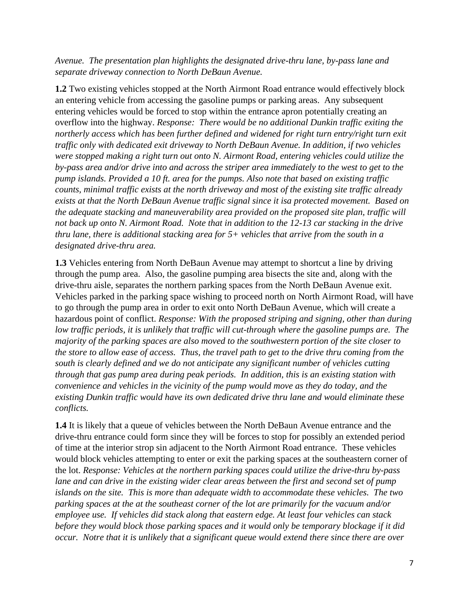*Avenue. The presentation plan highlights the designated drive-thru lane, by-pass lane and separate driveway connection to North DeBaun Avenue.*

**1.2** Two existing vehicles stopped at the North Airmont Road entrance would effectively block an entering vehicle from accessing the gasoline pumps or parking areas. Any subsequent entering vehicles would be forced to stop within the entrance apron potentially creating an overflow into the highway. *Response: There would be no additional Dunkin traffic exiting the northerly access which has been further defined and widened for right turn entry/right turn exit traffic only with dedicated exit driveway to North DeBaun Avenue. In addition, if two vehicles were stopped making a right turn out onto N. Airmont Road, entering vehicles could utilize the by-pass area and/or drive into and across the striper area immediately to the west to get to the pump islands. Provided a 10 ft. area for the pumps. Also note that based on existing traffic counts, minimal traffic exists at the north driveway and most of the existing site traffic already exists at that the North DeBaun Avenue traffic signal since it isa protected movement. Based on the adequate stacking and maneuverability area provided on the proposed site plan, traffic will not back up onto N. Airmont Road. Note that in addition to the 12-13 car stacking in the drive thru lane, there is additional stacking area for 5+ vehicles that arrive from the south in a designated drive-thru area.*

**1.3** Vehicles entering from North DeBaun Avenue may attempt to shortcut a line by driving through the pump area. Also, the gasoline pumping area bisects the site and, along with the drive-thru aisle, separates the northern parking spaces from the North DeBaun Avenue exit. Vehicles parked in the parking space wishing to proceed north on North Airmont Road, will have to go through the pump area in order to exit onto North DeBaun Avenue, which will create a hazardous point of conflict. *Response: With the proposed striping and signing, other than during low traffic periods, it is unlikely that traffic will cut-through where the gasoline pumps are. The majority of the parking spaces are also moved to the southwestern portion of the site closer to the store to allow ease of access. Thus, the travel path to get to the drive thru coming from the south is clearly defined and we do not anticipate any significant number of vehicles cutting through that gas pump area during peak periods. In addition, this is an existing station with convenience and vehicles in the vicinity of the pump would move as they do today, and the existing Dunkin traffic would have its own dedicated drive thru lane and would eliminate these conflicts.*

**1.4** It is likely that a queue of vehicles between the North DeBaun Avenue entrance and the drive-thru entrance could form since they will be forces to stop for possibly an extended period of time at the interior strop sin adjacent to the North Airmont Road entrance. These vehicles would block vehicles attempting to enter or exit the parking spaces at the southeastern corner of the lot. *Response: Vehicles at the northern parking spaces could utilize the drive-thru by-pass lane and can drive in the existing wider clear areas between the first and second set of pump islands on the site. This is more than adequate width to accommodate these vehicles. The two parking spaces at the at the southeast corner of the lot are primarily for the vacuum and/or employee use. If vehicles did stack along that eastern edge. At least four vehicles can stack before they would block those parking spaces and it would only be temporary blockage if it did occur. Notre that it is unlikely that a significant queue would extend there since there are over*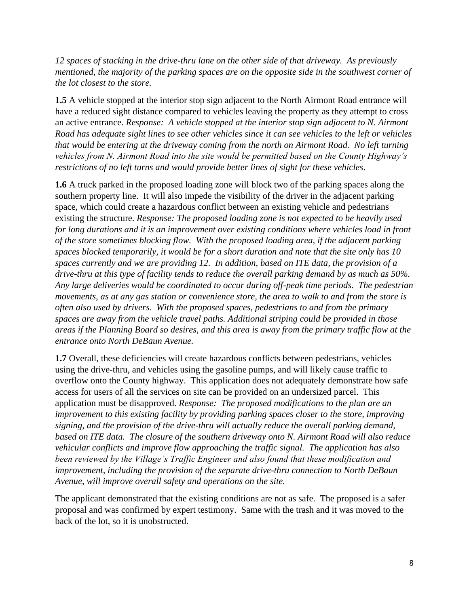*12 spaces of stacking in the drive-thru lane on the other side of that driveway. As previously mentioned, the majority of the parking spaces are on the opposite side in the southwest corner of the lot closest to the store.*

**1.5** A vehicle stopped at the interior stop sign adjacent to the North Airmont Road entrance will have a reduced sight distance compared to vehicles leaving the property as they attempt to cross an active entrance. *Response: A vehicle stopped at the interior stop sign adjacent to N. Airmont Road has adequate sight lines to see other vehicles since it can see vehicles to the left or vehicles that would be entering at the driveway coming from the north on Airmont Road. No left turning vehicles from N. Airmont Road into the site would be permitted based on the County Highway's restrictions of no left turns and would provide better lines of sight for these vehicles*.

**1.6** A truck parked in the proposed loading zone will block two of the parking spaces along the southern property line. It will also impede the visibility of the driver in the adjacent parking space, which could create a hazardous conflict between an existing vehicle and pedestrians existing the structure. *Response: The proposed loading zone is not expected to be heavily used for long durations and it is an improvement over existing conditions where vehicles load in front of the store sometimes blocking flow. With the proposed loading area, if the adjacent parking spaces blocked temporarily, it would be for a short duration and note that the site only has 10 spaces currently and we are providing 12. In addition, based on ITE data, the provision of a drive-thru at this type of facility tends to reduce the overall parking demand by as much as 50%. Any large deliveries would be coordinated to occur during off-peak time periods. The pedestrian movements, as at any gas station or convenience store, the area to walk to and from the store is often also used by drivers. With the proposed spaces, pedestrians to and from the primary spaces are away from the vehicle travel paths. Additional striping could be provided in those areas if the Planning Board so desires, and this area is away from the primary traffic flow at the entrance onto North DeBaun Avenue.*

**1.7** Overall, these deficiencies will create hazardous conflicts between pedestrians, vehicles using the drive-thru, and vehicles using the gasoline pumps, and will likely cause traffic to overflow onto the County highway. This application does not adequately demonstrate how safe access for users of all the services on site can be provided on an undersized parcel. This application must be disapproved. *Response: The proposed modifications to the plan are an improvement to this existing facility by providing parking spaces closer to the store, improving signing, and the provision of the drive-thru will actually reduce the overall parking demand, based on ITE data. The closure of the southern driveway onto N. Airmont Road will also reduce vehicular conflicts and improve flow approaching the traffic signal. The application has also been reviewed by the Village's Traffic Engineer and also found that these modification and improvement, including the provision of the separate drive-thru connection to North DeBaun Avenue, will improve overall safety and operations on the site.*

The applicant demonstrated that the existing conditions are not as safe. The proposed is a safer proposal and was confirmed by expert testimony. Same with the trash and it was moved to the back of the lot, so it is unobstructed.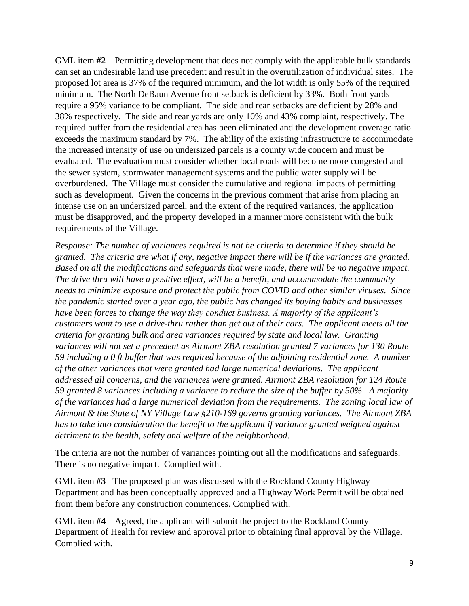GML item **#2** – Permitting development that does not comply with the applicable bulk standards can set an undesirable land use precedent and result in the overutilization of individual sites. The proposed lot area is 37% of the required minimum, and the lot width is only 55% of the required minimum. The North DeBaun Avenue front setback is deficient by 33%. Both front yards require a 95% variance to be compliant. The side and rear setbacks are deficient by 28% and 38% respectively. The side and rear yards are only 10% and 43% complaint, respectively. The required buffer from the residential area has been eliminated and the development coverage ratio exceeds the maximum standard by 7%. The ability of the existing infrastructure to accommodate the increased intensity of use on undersized parcels is a county wide concern and must be evaluated. The evaluation must consider whether local roads will become more congested and the sewer system, stormwater management systems and the public water supply will be overburdened. The Village must consider the cumulative and regional impacts of permitting such as development. Given the concerns in the previous comment that arise from placing an intense use on an undersized parcel, and the extent of the required variances, the application must be disapproved, and the property developed in a manner more consistent with the bulk requirements of the Village.

*Response: The number of variances required is not he criteria to determine if they should be granted. The criteria are what if any, negative impact there will be if the variances are granted. Based on all the modifications and safeguards that were made, there will be no negative impact. The drive thru will have a positive effect, will be a benefit, and accommodate the community needs to minimize exposure and protect the public from COVID and other similar viruses. Since the pandemic started over a year ago, the public has changed its buying habits and businesses have been forces to change the way they conduct business. A majority of the applicant's customers want to use a drive-thru rather than get out of their cars. The applicant meets all the criteria for granting bulk and area variances required by state and local law. Granting variances will not set a precedent as Airmont ZBA resolution granted 7 variances for 130 Route 59 including a 0 ft buffer that was required because of the adjoining residential zone. A number of the other variances that were granted had large numerical deviations. The applicant addressed all concerns, and the variances were granted. Airmont ZBA resolution for 124 Route 59 granted 8 variances including a variance to reduce the size of the buffer by 50%. A majority of the variances had a large numerical deviation from the requirements. The zoning local law of Airmont & the State of NY Village Law §210-169 governs granting variances. The Airmont ZBA has to take into consideration the benefit to the applicant if variance granted weighed against detriment to the health, safety and welfare of the neighborhood*.

The criteria are not the number of variances pointing out all the modifications and safeguards. There is no negative impact. Complied with.

GML item **#3** –The proposed plan was discussed with the Rockland County Highway Department and has been conceptually approved and a Highway Work Permit will be obtained from them before any construction commences. Complied with.

GML item **#4 –** Agreed, the applicant will submit the project to the Rockland County Department of Health for review and approval prior to obtaining final approval by the Village**.**  Complied with.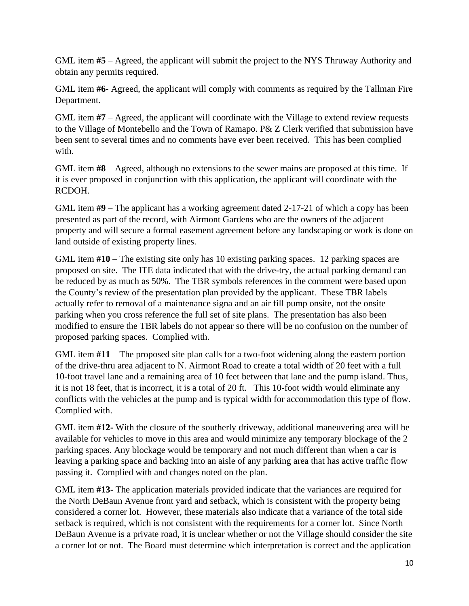GML item **#5** – Agreed, the applicant will submit the project to the NYS Thruway Authority and obtain any permits required.

GML item **#6**- Agreed, the applicant will comply with comments as required by the Tallman Fire Department.

GML item **#7** – Agreed, the applicant will coordinate with the Village to extend review requests to the Village of Montebello and the Town of Ramapo. P& Z Clerk verified that submission have been sent to several times and no comments have ever been received. This has been complied with.

GML item **#8** – Agreed, although no extensions to the sewer mains are proposed at this time. If it is ever proposed in conjunction with this application, the applicant will coordinate with the RCDOH.

GML item **#9** – The applicant has a working agreement dated 2-17-21 of which a copy has been presented as part of the record, with Airmont Gardens who are the owners of the adjacent property and will secure a formal easement agreement before any landscaping or work is done on land outside of existing property lines.

GML item **#10** – The existing site only has 10 existing parking spaces. 12 parking spaces are proposed on site. The ITE data indicated that with the drive-try, the actual parking demand can be reduced by as much as 50%. The TBR symbols references in the comment were based upon the County's review of the presentation plan provided by the applicant. These TBR labels actually refer to removal of a maintenance signa and an air fill pump onsite, not the onsite parking when you cross reference the full set of site plans. The presentation has also been modified to ensure the TBR labels do not appear so there will be no confusion on the number of proposed parking spaces. Complied with.

GML item **#11** – The proposed site plan calls for a two-foot widening along the eastern portion of the drive-thru area adjacent to N. Airmont Road to create a total width of 20 feet with a full 10-foot travel lane and a remaining area of 10 feet between that lane and the pump island. Thus, it is not 18 feet, that is incorrect, it is a total of 20 ft. This 10-foot width would eliminate any conflicts with the vehicles at the pump and is typical width for accommodation this type of flow. Complied with.

GML item **#12-** With the closure of the southerly driveway, additional maneuvering area will be available for vehicles to move in this area and would minimize any temporary blockage of the 2 parking spaces. Any blockage would be temporary and not much different than when a car is leaving a parking space and backing into an aisle of any parking area that has active traffic flow passing it. Complied with and changes noted on the plan.

GML item **#13-** The application materials provided indicate that the variances are required for the North DeBaun Avenue front yard and setback, which is consistent with the property being considered a corner lot. However, these materials also indicate that a variance of the total side setback is required, which is not consistent with the requirements for a corner lot. Since North DeBaun Avenue is a private road, it is unclear whether or not the Village should consider the site a corner lot or not. The Board must determine which interpretation is correct and the application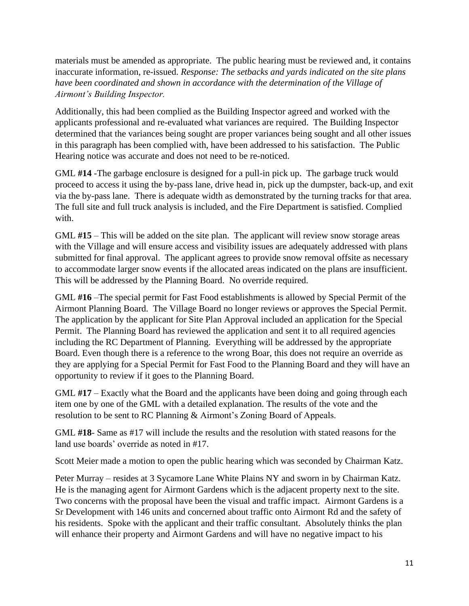materials must be amended as appropriate. The public hearing must be reviewed and, it contains inaccurate information, re-issued. *Response: The setbacks and yards indicated on the site plans have been coordinated and shown in accordance with the determination of the Village of Airmont's Building Inspector.*

Additionally, this had been complied as the Building Inspector agreed and worked with the applicants professional and re-evaluated what variances are required. The Building Inspector determined that the variances being sought are proper variances being sought and all other issues in this paragraph has been complied with, have been addressed to his satisfaction. The Public Hearing notice was accurate and does not need to be re-noticed.

GML **#14** -The garbage enclosure is designed for a pull-in pick up. The garbage truck would proceed to access it using the by-pass lane, drive head in, pick up the dumpster, back-up, and exit via the by-pass lane. There is adequate width as demonstrated by the turning tracks for that area. The full site and full truck analysis is included, and the Fire Department is satisfied. Complied with.

GML **#15** – This will be added on the site plan. The applicant will review snow storage areas with the Village and will ensure access and visibility issues are adequately addressed with plans submitted for final approval. The applicant agrees to provide snow removal offsite as necessary to accommodate larger snow events if the allocated areas indicated on the plans are insufficient. This will be addressed by the Planning Board. No override required.

GML **#16** –The special permit for Fast Food establishments is allowed by Special Permit of the Airmont Planning Board. The Village Board no longer reviews or approves the Special Permit. The application by the applicant for Site Plan Approval included an application for the Special Permit. The Planning Board has reviewed the application and sent it to all required agencies including the RC Department of Planning. Everything will be addressed by the appropriate Board. Even though there is a reference to the wrong Boar, this does not require an override as they are applying for a Special Permit for Fast Food to the Planning Board and they will have an opportunity to review if it goes to the Planning Board.

GML **#17** – Exactly what the Board and the applicants have been doing and going through each item one by one of the GML with a detailed explanation. The results of the vote and the resolution to be sent to RC Planning & Airmont's Zoning Board of Appeals.

GML **#18**- Same as #17 will include the results and the resolution with stated reasons for the land use boards' override as noted in #17.

Scott Meier made a motion to open the public hearing which was seconded by Chairman Katz.

Peter Murray – resides at 3 Sycamore Lane White Plains NY and sworn in by Chairman Katz. He is the managing agent for Airmont Gardens which is the adjacent property next to the site. Two concerns with the proposal have been the visual and traffic impact. Airmont Gardens is a Sr Development with 146 units and concerned about traffic onto Airmont Rd and the safety of his residents. Spoke with the applicant and their traffic consultant. Absolutely thinks the plan will enhance their property and Airmont Gardens and will have no negative impact to his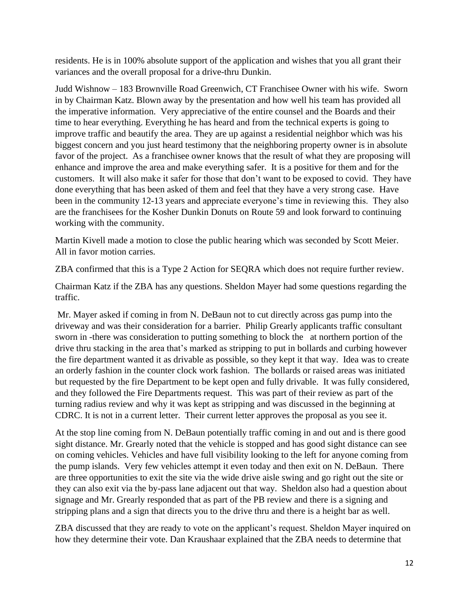residents. He is in 100% absolute support of the application and wishes that you all grant their variances and the overall proposal for a drive-thru Dunkin.

Judd Wishnow – 183 Brownville Road Greenwich, CT Franchisee Owner with his wife. Sworn in by Chairman Katz. Blown away by the presentation and how well his team has provided all the imperative information. Very appreciative of the entire counsel and the Boards and their time to hear everything. Everything he has heard and from the technical experts is going to improve traffic and beautify the area. They are up against a residential neighbor which was his biggest concern and you just heard testimony that the neighboring property owner is in absolute favor of the project. As a franchisee owner knows that the result of what they are proposing will enhance and improve the area and make everything safer. It is a positive for them and for the customers. It will also make it safer for those that don't want to be exposed to covid. They have done everything that has been asked of them and feel that they have a very strong case. Have been in the community 12-13 years and appreciate everyone's time in reviewing this. They also are the franchisees for the Kosher Dunkin Donuts on Route 59 and look forward to continuing working with the community.

Martin Kivell made a motion to close the public hearing which was seconded by Scott Meier. All in favor motion carries.

ZBA confirmed that this is a Type 2 Action for SEQRA which does not require further review.

Chairman Katz if the ZBA has any questions. Sheldon Mayer had some questions regarding the traffic.

Mr. Mayer asked if coming in from N. DeBaun not to cut directly across gas pump into the driveway and was their consideration for a barrier. Philip Grearly applicants traffic consultant sworn in -there was consideration to putting something to block the at northern portion of the drive thru stacking in the area that's marked as stripping to put in bollards and curbing however the fire department wanted it as drivable as possible, so they kept it that way. Idea was to create an orderly fashion in the counter clock work fashion. The bollards or raised areas was initiated but requested by the fire Department to be kept open and fully drivable. It was fully considered, and they followed the Fire Departments request. This was part of their review as part of the turning radius review and why it was kept as stripping and was discussed in the beginning at CDRC. It is not in a current letter. Their current letter approves the proposal as you see it.

At the stop line coming from N. DeBaun potentially traffic coming in and out and is there good sight distance. Mr. Grearly noted that the vehicle is stopped and has good sight distance can see on coming vehicles. Vehicles and have full visibility looking to the left for anyone coming from the pump islands. Very few vehicles attempt it even today and then exit on N. DeBaun. There are three opportunities to exit the site via the wide drive aisle swing and go right out the site or they can also exit via the by-pass lane adjacent out that way. Sheldon also had a question about signage and Mr. Grearly responded that as part of the PB review and there is a signing and stripping plans and a sign that directs you to the drive thru and there is a height bar as well.

ZBA discussed that they are ready to vote on the applicant's request. Sheldon Mayer inquired on how they determine their vote. Dan Kraushaar explained that the ZBA needs to determine that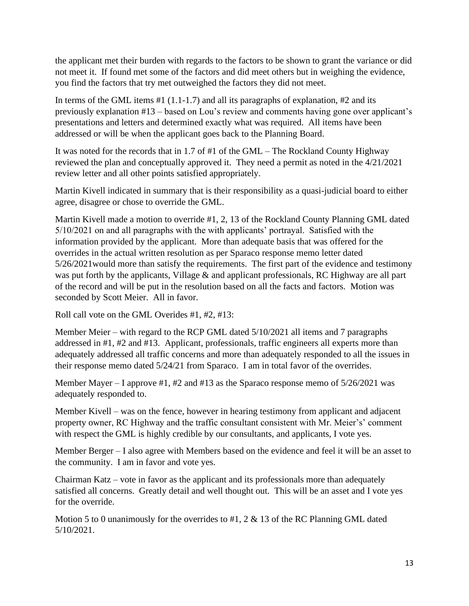the applicant met their burden with regards to the factors to be shown to grant the variance or did not meet it. If found met some of the factors and did meet others but in weighing the evidence, you find the factors that try met outweighed the factors they did not meet.

In terms of the GML items  $#1$  (1.1-1.7) and all its paragraphs of explanation,  $#2$  and its previously explanation #13 – based on Lou's review and comments having gone over applicant's presentations and letters and determined exactly what was required. All items have been addressed or will be when the applicant goes back to the Planning Board.

It was noted for the records that in 1.7 of #1 of the GML – The Rockland County Highway reviewed the plan and conceptually approved it. They need a permit as noted in the 4/21/2021 review letter and all other points satisfied appropriately.

Martin Kivell indicated in summary that is their responsibility as a quasi-judicial board to either agree, disagree or chose to override the GML.

Martin Kivell made a motion to override #1, 2, 13 of the Rockland County Planning GML dated 5/10/2021 on and all paragraphs with the with applicants' portrayal. Satisfied with the information provided by the applicant. More than adequate basis that was offered for the overrides in the actual written resolution as per Sparaco response memo letter dated 5/26/2021would more than satisfy the requirements. The first part of the evidence and testimony was put forth by the applicants, Village & and applicant professionals, RC Highway are all part of the record and will be put in the resolution based on all the facts and factors. Motion was seconded by Scott Meier. All in favor.

Roll call vote on the GML Overides #1, #2, #13:

Member Meier – with regard to the RCP GML dated 5/10/2021 all items and 7 paragraphs addressed in #1, #2 and #13. Applicant, professionals, traffic engineers all experts more than adequately addressed all traffic concerns and more than adequately responded to all the issues in their response memo dated 5/24/21 from Sparaco. I am in total favor of the overrides.

Member Mayer – I approve #1, #2 and #13 as the Sparaco response memo of 5/26/2021 was adequately responded to.

Member Kivell – was on the fence, however in hearing testimony from applicant and adjacent property owner, RC Highway and the traffic consultant consistent with Mr. Meier's' comment with respect the GML is highly credible by our consultants, and applicants, I vote yes.

Member Berger – I also agree with Members based on the evidence and feel it will be an asset to the community. I am in favor and vote yes.

Chairman Katz – vote in favor as the applicant and its professionals more than adequately satisfied all concerns. Greatly detail and well thought out. This will be an asset and I vote yes for the override.

Motion 5 to 0 unanimously for the overrides to #1, 2  $\&$  13 of the RC Planning GML dated 5/10/2021.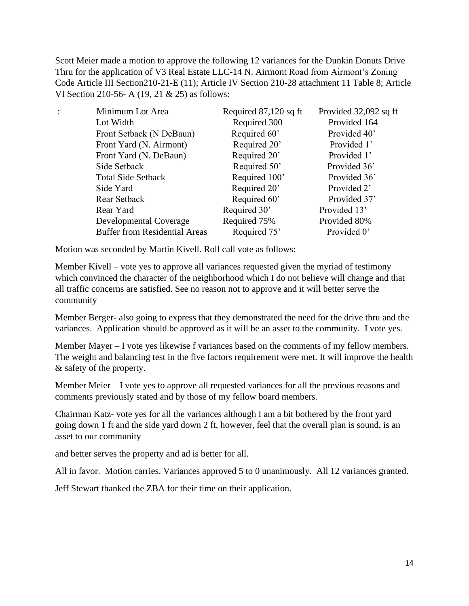Scott Meier made a motion to approve the following 12 variances for the Dunkin Donuts Drive Thru for the application of V3 Real Estate LLC-14 N. Airmont Road from Airmont's Zoning Code Article III Section210-21-E (11); Article IV Section 210-28 attachment 11 Table 8; Article VI Section 210-56- A (19, 21 & 25) as follows:

| Minimum Lot Area                     | Required 87,120 sq ft | Provided 32,092 sq ft |
|--------------------------------------|-----------------------|-----------------------|
| Lot Width                            | Required 300          | Provided 164          |
| Front Setback (N DeBaun)             | Required 60'          | Provided 40'          |
| Front Yard (N. Airmont)              | Required 20'          | Provided 1'           |
| Front Yard (N. DeBaun)               | Required 20'          | Provided 1'           |
| Side Setback                         | Required 50'          | Provided 36'          |
| <b>Total Side Setback</b>            | Required 100'         | Provided 36'          |
| Side Yard                            | Required 20'          | Provided 2'           |
| Rear Setback                         | Required 60'          | Provided 37'          |
| Rear Yard                            | Required 30'          | Provided 13'          |
| Developmental Coverage               | Required 75%          | Provided 80%          |
| <b>Buffer from Residential Areas</b> | Required 75'          | Provided 0'           |
|                                      |                       |                       |

Motion was seconded by Martin Kivell. Roll call vote as follows:

Member Kivell – vote yes to approve all variances requested given the myriad of testimony which convinced the character of the neighborhood which I do not believe will change and that all traffic concerns are satisfied. See no reason not to approve and it will better serve the community

Member Berger- also going to express that they demonstrated the need for the drive thru and the variances. Application should be approved as it will be an asset to the community. I vote yes.

Member Mayer – I vote yes likewise f variances based on the comments of my fellow members. The weight and balancing test in the five factors requirement were met. It will improve the health & safety of the property.

Member Meier – I vote yes to approve all requested variances for all the previous reasons and comments previously stated and by those of my fellow board members.

Chairman Katz- vote yes for all the variances although I am a bit bothered by the front yard going down 1 ft and the side yard down 2 ft, however, feel that the overall plan is sound, is an asset to our community

and better serves the property and ad is better for all.

All in favor. Motion carries. Variances approved 5 to 0 unanimously. All 12 variances granted.

Jeff Stewart thanked the ZBA for their time on their application.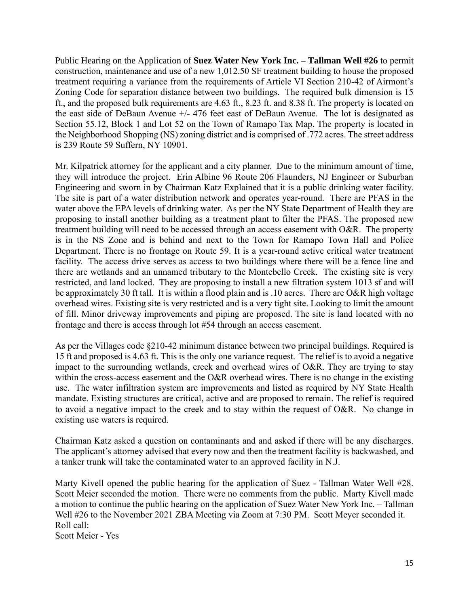Public Hearing on the Application of **Suez Water New York Inc. – Tallman Well #26** to permit construction, maintenance and use of a new 1,012.50 SF treatment building to house the proposed treatment requiring a variance from the requirements of Article VI Section 210-42 of Airmont's Zoning Code for separation distance between two buildings. The required bulk dimension is 15 ft., and the proposed bulk requirements are 4.63 ft., 8.23 ft. and 8.38 ft. The property is located on the east side of DeBaun Avenue +/- 476 feet east of DeBaun Avenue. The lot is designated as Section 55.12, Block 1 and Lot 52 on the Town of Ramapo Tax Map. The property is located in the Neighborhood Shopping (NS) zoning district and is comprised of .772 acres. The street address is 239 Route 59 Suffern, NY 10901.

Mr. Kilpatrick attorney for the applicant and a city planner. Due to the minimum amount of time, they will introduce the project. Erin Albine 96 Route 206 Flaunders, NJ Engineer or Suburban Engineering and sworn in by Chairman Katz Explained that it is a public drinking water facility. The site is part of a water distribution network and operates year-round. There are PFAS in the water above the EPA levels of drinking water. As per the NY State Department of Health they are proposing to install another building as a treatment plant to filter the PFAS. The proposed new treatment building will need to be accessed through an access easement with O&R. The property is in the NS Zone and is behind and next to the Town for Ramapo Town Hall and Police Department. There is no frontage on Route 59. It is a year-round active critical water treatment facility. The access drive serves as access to two buildings where there will be a fence line and there are wetlands and an unnamed tributary to the Montebello Creek. The existing site is very restricted, and land locked. They are proposing to install a new filtration system 1013 sf and will be approximately 30 ft tall. It is within a flood plain and is .10 acres. There are O&R high voltage overhead wires. Existing site is very restricted and is a very tight site. Looking to limit the amount of fill. Minor driveway improvements and piping are proposed. The site is land located with no frontage and there is access through lot #54 through an access easement.

As per the Villages code §210-42 minimum distance between two principal buildings. Required is 15 ft and proposed is 4.63 ft. This is the only one variance request. The relief is to avoid a negative impact to the surrounding wetlands, creek and overhead wires of O&R. They are trying to stay within the cross-access easement and the O&R overhead wires. There is no change in the existing use. The water infiltration system are improvements and listed as required by NY State Health mandate. Existing structures are critical, active and are proposed to remain. The relief is required to avoid a negative impact to the creek and to stay within the request of O&R. No change in existing use waters is required.

Chairman Katz asked a question on contaminants and and asked if there will be any discharges. The applicant's attorney advised that every now and then the treatment facility is backwashed, and a tanker trunk will take the contaminated water to an approved facility in N.J.

Marty Kivell opened the public hearing for the application of Suez - Tallman Water Well #28. Scott Meier seconded the motion. There were no comments from the public. Marty Kivell made a motion to continue the public hearing on the application of Suez Water New York Inc. – Tallman Well #26 to the November 2021 ZBA Meeting via Zoom at 7:30 PM. Scott Meyer seconded it. Roll call: Scott Meier - Yes